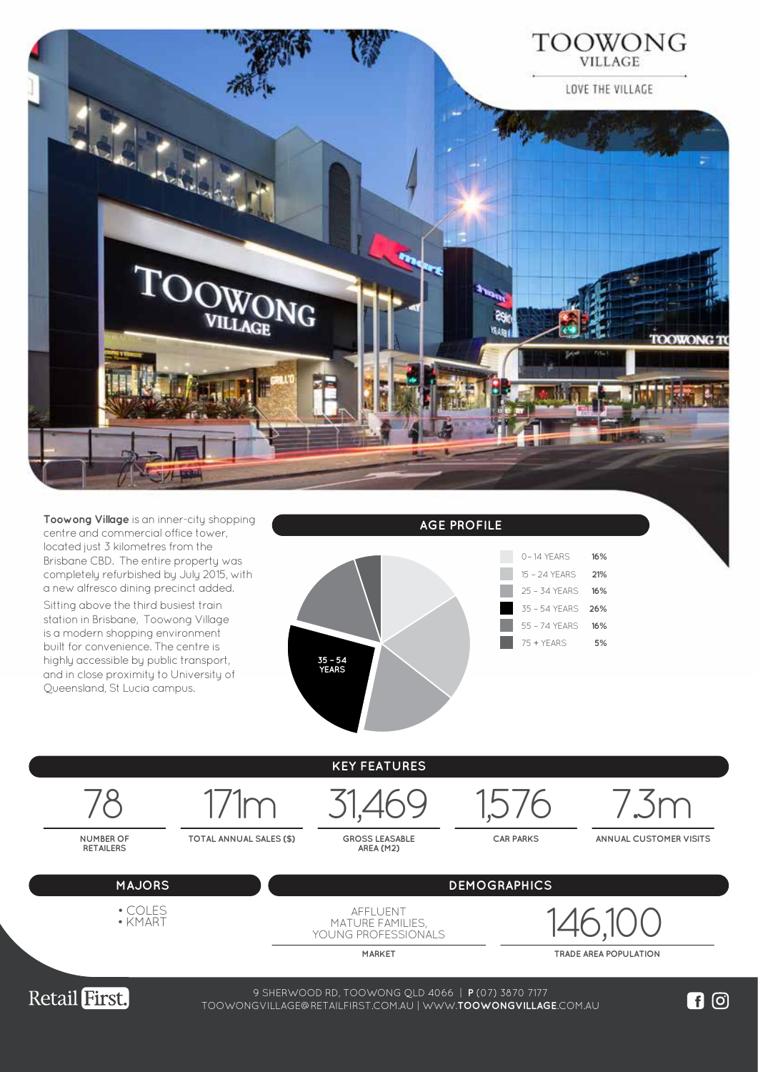



**TOTAL ANNUAL SALES (\$)** 

GROSS LEASABLE<br>AREA (M2)

**CAR PARKS ANNUAL CUSTOMER VISITS**



**NUMBER OF RETAILERS**

**MAJORS DEMOGRAPHICS**

• COLES • KMART

AFFLUENT MATURE FAMILIES, YOUNG PROFESSIONALS 146,100

**MARKET TRADE AREA POPULATION**



38-74 WEMBLEY ROAD, LOGAN CENTRAL QLD 4114 | **P** (07) 3208 0988 9 SHERWOOD RD, TOOWONG QLD 4066 | **P** (07) 3870 7177 WWW.**LOGANCENTRALPLAZA**.COM.AU TOOWONGVILLAGE@RETAILFIRST.COM.AU | WWW.**TOOWONGVILLAGE**.COM.AU